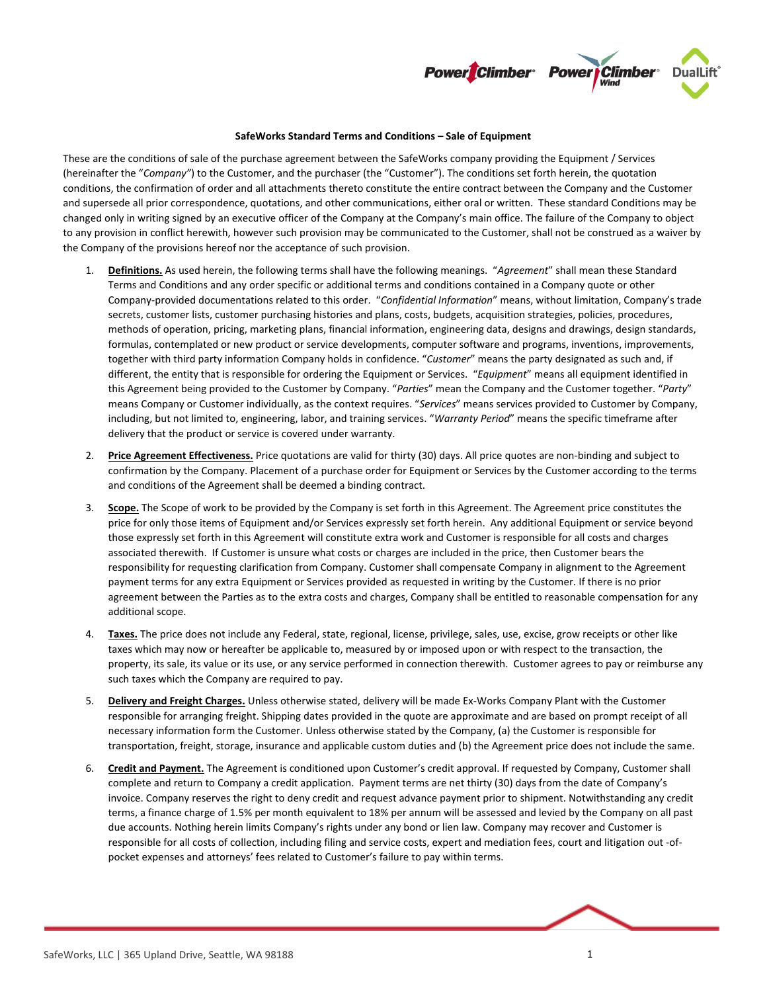

## **SafeWorks Standard Terms and Conditions – Sale of Equipment**

These are the conditions of sale of the purchase agreement between the SafeWorks company providing the Equipment / Services (hereinafter the "*Company"*) to the Customer, and the purchaser (the "Customer"). The conditions set forth herein, the quotation conditions, the confirmation of order and all attachments thereto constitute the entire contract between the Company and the Customer and supersede all prior correspondence, quotations, and other communications, either oral or written. These standard Conditions may be changed only in writing signed by an executive officer of the Company at the Company's main office. The failure of the Company to object to any provision in conflict herewith, however such provision may be communicated to the Customer, shall not be construed as a waiver by the Company of the provisions hereof nor the acceptance of such provision.

- 1. **Definitions.** As used herein, the following terms shall have the following meanings. "*Agreement*" shall mean these Standard Terms and Conditions and any order specific or additional terms and conditions contained in a Company quote or other Company-provided documentations related to this order. "*Confidential Information*" means, without limitation, Company's trade secrets, customer lists, customer purchasing histories and plans, costs, budgets, acquisition strategies, policies, procedures, methods of operation, pricing, marketing plans, financial information, engineering data, designs and drawings, design standards, formulas, contemplated or new product or service developments, computer software and programs, inventions, improvements, together with third party information Company holds in confidence. "*Customer*" means the party designated as such and, if different, the entity that is responsible for ordering the Equipment or Services. "*Equipment*" means all equipment identified in this Agreement being provided to the Customer by Company. "*Parties*" mean the Company and the Customer together. "*Party*" means Company or Customer individually, as the context requires. "*Services*" means services provided to Customer by Company, including, but not limited to, engineering, labor, and training services. "*Warranty Period*" means the specific timeframe after delivery that the product or service is covered under warranty.
- 2. **Price Agreement Effectiveness.** Price quotations are valid for thirty (30) days. All price quotes are non-binding and subject to confirmation by the Company. Placement of a purchase order for Equipment or Services by the Customer according to the terms and conditions of the Agreement shall be deemed a binding contract.
- 3. **Scope.** The Scope of work to be provided by the Company is set forth in this Agreement. The Agreement price constitutes the price for only those items of Equipment and/or Services expressly set forth herein. Any additional Equipment or service beyond those expressly set forth in this Agreement will constitute extra work and Customer is responsible for all costs and charges associated therewith. If Customer is unsure what costs or charges are included in the price, then Customer bears the responsibility for requesting clarification from Company. Customer shall compensate Company in alignment to the Agreement payment terms for any extra Equipment or Services provided as requested in writing by the Customer. If there is no prior agreement between the Parties as to the extra costs and charges, Company shall be entitled to reasonable compensation for any additional scope.
- 4. **Taxes.** The price does not include any Federal, state, regional, license, privilege, sales, use, excise, grow receipts or other like taxes which may now or hereafter be applicable to, measured by or imposed upon or with respect to the transaction, the property, its sale, its value or its use, or any service performed in connection therewith. Customer agrees to pay or reimburse any such taxes which the Company are required to pay.
- 5. **Delivery and Freight Charges.** Unless otherwise stated, delivery will be made Ex-Works Company Plant with the Customer responsible for arranging freight. Shipping dates provided in the quote are approximate and are based on prompt receipt of all necessary information form the Customer. Unless otherwise stated by the Company, (a) the Customer is responsible for transportation, freight, storage, insurance and applicable custom duties and (b) the Agreement price does not include the same.
- 6. **Credit and Payment.** The Agreement is conditioned upon Customer's credit approval. If requested by Company, Customer shall complete and return to Company a credit application. Payment terms are net thirty (30) days from the date of Company's invoice. Company reserves the right to deny credit and request advance payment prior to shipment. Notwithstanding any credit terms, a finance charge of 1.5% per month equivalent to 18% per annum will be assessed and levied by the Company on all past due accounts. Nothing herein limits Company's rights under any bond or lien law. Company may recover and Customer is responsible for all costs of collection, including filing and service costs, expert and mediation fees, court and litigation out -ofpocket expenses and attorneys' fees related to Customer's failure to pay within terms.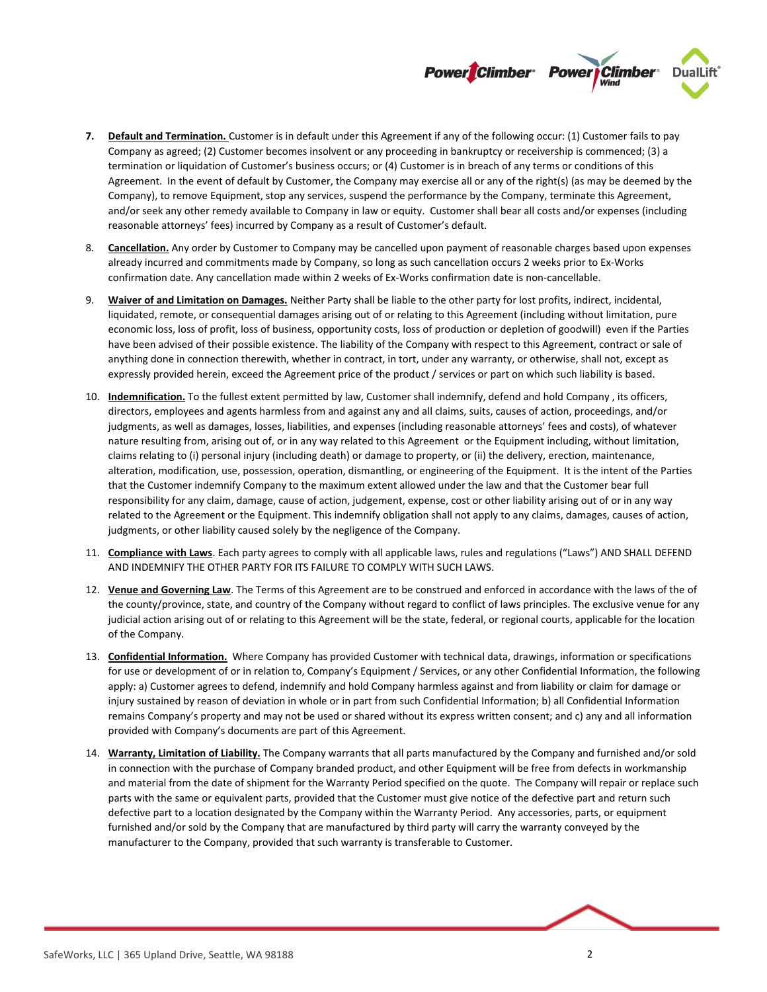

- **7. Default and Termination.** Customer is in default under this Agreement if any of the following occur: (1) Customer fails to pay Company as agreed; (2) Customer becomes insolvent or any proceeding in bankruptcy or receivership is commenced; (3) a termination or liquidation of Customer's business occurs; or (4) Customer is in breach of any terms or conditions of this Agreement. In the event of default by Customer, the Company may exercise all or any of the right(s) (as may be deemed by the Company), to remove Equipment, stop any services, suspend the performance by the Company, terminate this Agreement, and/or seek any other remedy available to Company in law or equity. Customer shall bear all costs and/or expenses (including reasonable attorneys' fees) incurred by Company as a result of Customer's default.
- 8. **Cancellation.** Any order by Customer to Company may be cancelled upon payment of reasonable charges based upon expenses already incurred and commitments made by Company, so long as such cancellation occurs 2 weeks prior to Ex-Works confirmation date. Any cancellation made within 2 weeks of Ex-Works confirmation date is non-cancellable.
- 9. **Waiver of and Limitation on Damages.** Neither Party shall be liable to the other party for lost profits, indirect, incidental, liquidated, remote, or consequential damages arising out of or relating to this Agreement (including without limitation, pure economic loss, loss of profit, loss of business, opportunity costs, loss of production or depletion of goodwill) even if the Parties have been advised of their possible existence. The liability of the Company with respect to this Agreement, contract or sale of anything done in connection therewith, whether in contract, in tort, under any warranty, or otherwise, shall not, except as expressly provided herein, exceed the Agreement price of the product / services or part on which such liability is based.
- 10. **Indemnification.** To the fullest extent permitted by law, Customer shall indemnify, defend and hold Company , its officers, directors, employees and agents harmless from and against any and all claims, suits, causes of action, proceedings, and/or judgments, as well as damages, losses, liabilities, and expenses (including reasonable attorneys' fees and costs), of whatever nature resulting from, arising out of, or in any way related to this Agreement or the Equipment including, without limitation, claims relating to (i) personal injury (including death) or damage to property, or (ii) the delivery, erection, maintenance, alteration, modification, use, possession, operation, dismantling, or engineering of the Equipment. It is the intent of the Parties that the Customer indemnify Company to the maximum extent allowed under the law and that the Customer bear full responsibility for any claim, damage, cause of action, judgement, expense, cost or other liability arising out of or in any way related to the Agreement or the Equipment. This indemnify obligation shall not apply to any claims, damages, causes of action, judgments, or other liability caused solely by the negligence of the Company.
- 11. **Compliance with Laws**. Each party agrees to comply with all applicable laws, rules and regulations ("Laws") AND SHALL DEFEND AND INDEMNIFY THE OTHER PARTY FOR ITS FAILURE TO COMPLY WITH SUCH LAWS.
- 12. **Venue and Governing Law**. The Terms of this Agreement are to be construed and enforced in accordance with the laws of the of the county/province, state, and country of the Company without regard to conflict of laws principles. The exclusive venue for any judicial action arising out of or relating to this Agreement will be the state, federal, or regional courts, applicable for the location of the Company.
- 13. **Confidential Information.** Where Company has provided Customer with technical data, drawings, information or specifications for use or development of or in relation to, Company's Equipment / Services, or any other Confidential Information, the following apply: a) Customer agrees to defend, indemnify and hold Company harmless against and from liability or claim for damage or injury sustained by reason of deviation in whole or in part from such Confidential Information; b) all Confidential Information remains Company's property and may not be used or shared without its express written consent; and c) any and all information provided with Company's documents are part of this Agreement.
- 14. **Warranty, Limitation of Liability.** The Company warrants that all parts manufactured by the Company and furnished and/or sold in connection with the purchase of Company branded product, and other Equipment will be free from defects in workmanship and material from the date of shipment for the Warranty Period specified on the quote. The Company will repair or replace such parts with the same or equivalent parts, provided that the Customer must give notice of the defective part and return such defective part to a location designated by the Company within the Warranty Period. Any accessories, parts, or equipment furnished and/or sold by the Company that are manufactured by third party will carry the warranty conveyed by the manufacturer to the Company, provided that such warranty is transferable to Customer.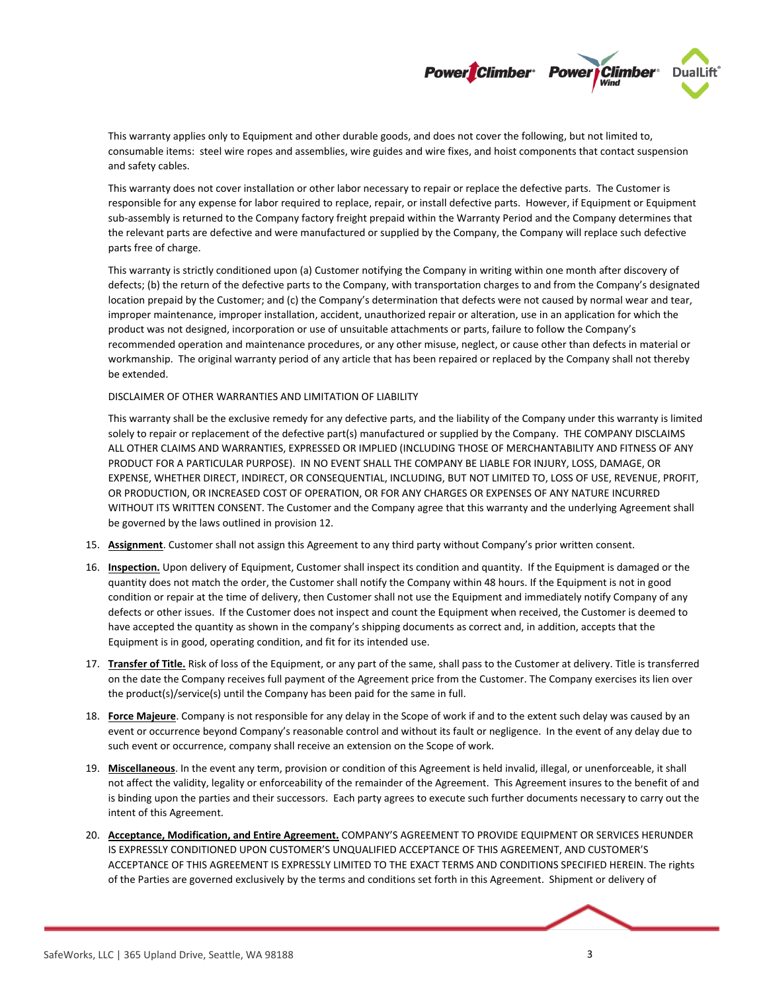

This warranty applies only to Equipment and other durable goods, and does not cover the following, but not limited to, consumable items: steel wire ropes and assemblies, wire guides and wire fixes, and hoist components that contact suspension and safety cables.

This warranty does not cover installation or other labor necessary to repair or replace the defective parts. The Customer is responsible for any expense for labor required to replace, repair, or install defective parts. However, if Equipment or Equipment sub-assembly is returned to the Company factory freight prepaid within the Warranty Period and the Company determines that the relevant parts are defective and were manufactured or supplied by the Company, the Company will replace such defective parts free of charge.

This warranty is strictly conditioned upon (a) Customer notifying the Company in writing within one month after discovery of defects; (b) the return of the defective parts to the Company, with transportation charges to and from the Company's designated location prepaid by the Customer; and (c) the Company's determination that defects were not caused by normal wear and tear, improper maintenance, improper installation, accident, unauthorized repair or alteration, use in an application for which the product was not designed, incorporation or use of unsuitable attachments or parts, failure to follow the Company's recommended operation and maintenance procedures, or any other misuse, neglect, or cause other than defects in material or workmanship. The original warranty period of any article that has been repaired or replaced by the Company shall not thereby be extended.

## DISCLAIMER OF OTHER WARRANTIES AND LIMITATION OF LIABILITY

This warranty shall be the exclusive remedy for any defective parts, and the liability of the Company under this warranty is limited solely to repair or replacement of the defective part(s) manufactured or supplied by the Company. THE COMPANY DISCLAIMS ALL OTHER CLAIMS AND WARRANTIES, EXPRESSED OR IMPLIED (INCLUDING THOSE OF MERCHANTABILITY AND FITNESS OF ANY PRODUCT FOR A PARTICULAR PURPOSE). IN NO EVENT SHALL THE COMPANY BE LIABLE FOR INJURY, LOSS, DAMAGE, OR EXPENSE, WHETHER DIRECT, INDIRECT, OR CONSEQUENTIAL, INCLUDING, BUT NOT LIMITED TO, LOSS OF USE, REVENUE, PROFIT, OR PRODUCTION, OR INCREASED COST OF OPERATION, OR FOR ANY CHARGES OR EXPENSES OF ANY NATURE INCURRED WITHOUT ITS WRITTEN CONSENT. The Customer and the Company agree that this warranty and the underlying Agreement shall be governed by the laws outlined in provision 12.

- 15. **Assignment**. Customer shall not assign this Agreement to any third party without Company's prior written consent.
- 16. **Inspection.** Upon delivery of Equipment, Customer shall inspect its condition and quantity. If the Equipment is damaged or the quantity does not match the order, the Customer shall notify the Company within 48 hours. If the Equipment is not in good condition or repair at the time of delivery, then Customer shall not use the Equipment and immediately notify Company of any defects or other issues. If the Customer does not inspect and count the Equipment when received, the Customer is deemed to have accepted the quantity as shown in the company's shipping documents as correct and, in addition, accepts that the Equipment is in good, operating condition, and fit for its intended use.
- 17. **Transfer of Title.** Risk of loss of the Equipment, or any part of the same, shall pass to the Customer at delivery. Title is transferred on the date the Company receives full payment of the Agreement price from the Customer. The Company exercises its lien over the product(s)/service(s) until the Company has been paid for the same in full.
- 18. **Force Majeure**. Company is not responsible for any delay in the Scope of work if and to the extent such delay was caused by an event or occurrence beyond Company's reasonable control and without its fault or negligence. In the event of any delay due to such event or occurrence, company shall receive an extension on the Scope of work.
- 19. **Miscellaneous**. In the event any term, provision or condition of this Agreement is held invalid, illegal, or unenforceable, it shall not affect the validity, legality or enforceability of the remainder of the Agreement. This Agreement insures to the benefit of and is binding upon the parties and their successors. Each party agrees to execute such further documents necessary to carry out the intent of this Agreement.
- 20. **Acceptance, Modification, and Entire Agreement.** COMPANY'S AGREEMENT TO PROVIDE EQUIPMENT OR SERVICES HERUNDER IS EXPRESSLY CONDITIONED UPON CUSTOMER'S UNQUALIFIED ACCEPTANCE OF THIS AGREEMENT, AND CUSTOMER'S ACCEPTANCE OF THIS AGREEMENT IS EXPRESSLY LIMITED TO THE EXACT TERMS AND CONDITIONS SPECIFIED HEREIN. The rights of the Parties are governed exclusively by the terms and conditions set forth in this Agreement. Shipment or delivery of